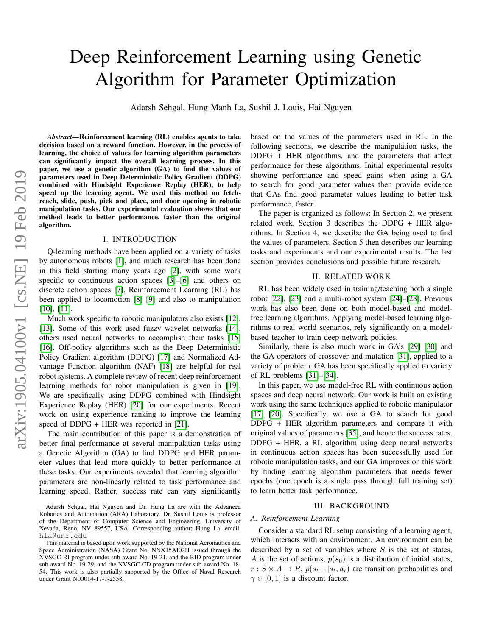# Deep Reinforcement Learning using Genetic Algorithm for Parameter Optimization

Adarsh Sehgal, Hung Manh La, Sushil J. Louis, Hai Nguyen

*Abstract*—Reinforcement learning (RL) enables agents to take decision based on a reward function. However, in the process of learning, the choice of values for learning algorithm parameters can significantly impact the overall learning process. In this paper, we use a genetic algorithm (GA) to find the values of parameters used in Deep Deterministic Policy Gradient (DDPG) combined with Hindsight Experience Replay (HER), to help speed up the learning agent. We used this method on fetchreach, slide, push, pick and place, and door opening in robotic manipulation tasks. Our experimental evaluation shows that our method leads to better performance, faster than the original algorithm.

## I. INTRODUCTION

Q-learning methods have been applied on a variety of tasks by autonomous robots [\[1\]](#page-5-0), and much research has been done in this field starting many years ago [\[2\]](#page-5-1), with some work specific to continuous action spaces [\[3\]](#page-5-2)–[\[6\]](#page-5-3) and others on discrete action spaces [\[7\]](#page-5-4). Reinforcement Learning (RL) has been applied to locomotion [\[8\]](#page-5-5) [\[9\]](#page-5-6) and also to manipulation [\[10\]](#page-5-7), [\[11\]](#page-5-8).

Much work specific to robotic manipulators also exists [\[12\]](#page-5-9), [\[13\]](#page-5-10). Some of this work used fuzzy wavelet networks [\[14\]](#page-5-11), others used neural networks to accomplish their tasks [\[15\]](#page-5-12) [\[16\]](#page-5-13). Off-policy algorithms such as the Deep Deterministic Policy Gradient algorithm (DDPG) [\[17\]](#page-5-14) and Normalized Advantage Function algorithm (NAF) [\[18\]](#page-5-15) are helpful for real robot systems. A complete review of recent deep reinforcement learning methods for robot manipulation is given in [\[19\]](#page-5-16). We are specifically using DDPG combined with Hindsight Experience Replay (HER) [\[20\]](#page-5-17) for our experiments. Recent work on using experience ranking to improve the learning speed of DDPG + HER was reported in [\[21\]](#page-5-18).

The main contribution of this paper is a demonstration of better final performance at several manipulation tasks using a Genetic Algorithm (GA) to find DDPG and HER parameter values that lead more quickly to better performance at these tasks. Our experiments revealed that learning algorithm parameters are non-linearly related to task performance and learning speed. Rather, success rate can vary significantly

Adarsh Sehgal, Hai Nguyen and Dr. Hung La are with the Advanced Robotics and Automation (ARA) Laboratory. Dr. Sushil Louis is professor of the Department of Computer Science and Engineering, University of Nevada, Reno, NV 89557, USA. Corresponding author: Hung La, email: hla@unr.edu

This material is based upon work supported by the National Aeronautics and Space Administration (NASA) Grant No. NNX15AI02H issued through the NVSGC-RI program under sub-award No. 19-21, and the RID program under sub-award No. 19-29, and the NVSGC-CD program under sub-award No. 18- 54. This work is also partially supported by the Office of Naval Research under Grant N00014-17-1-2558.

based on the values of the parameters used in RL. In the following sections, we describe the manipulation tasks, the DDPG + HER algorithms, and the parameters that affect performance for these algorithms. Initial experimental results showing performance and speed gains when using a GA to search for good parameter values then provide evidence that GAs find good parameter values leading to better task performance, faster.

The paper is organized as follows: In Section 2, we present related work. Section 3 describes the DDPG + HER algorithms. In Section 4, we describe the GA being used to find the values of parameters. Section 5 then describes our learning tasks and experiments and our experimental results. The last section provides conclusions and possible future research.

# II. RELATED WORK

RL has been widely used in training/teaching both a single robot [\[22\]](#page-5-19), [\[23\]](#page-5-20) and a multi-robot system [\[24\]](#page-5-21)–[\[28\]](#page-5-22). Previous work has also been done on both model-based and modelfree learning algorithms. Applying model-based learning algorithms to real world scenarios, rely significantly on a modelbased teacher to train deep network policies.

Similarly, there is also much work in GA's [\[29\]](#page-5-23) [\[30\]](#page-5-24) and the GA operators of crossover and mutation [\[31\]](#page-5-25), applied to a variety of problem. GA has been specifically applied to variety of RL problems [\[31\]](#page-5-25)–[\[34\]](#page-5-26).

In this paper, we use model-free RL with continuous action spaces and deep neural network. Our work is built on existing work using the same techniques applied to robotic manipulator [\[17\]](#page-5-14) [\[20\]](#page-5-17). Specifically, we use a GA to search for good DDPG + HER algorithm parameters and compare it with original values of parameters [\[35\]](#page-5-27), and hence the success rates. DDPG + HER, a RL algorithm using deep neural networks in continuous action spaces has been successfully used for robotic manipulation tasks, and our GA improves on this work by finding learning algorithm parameters that needs fewer epochs (one epoch is a single pass through full training set) to learn better task performance.

#### III. BACKGROUND

#### *A. Reinforcement Learning*

Consider a standard RL setup consisting of a learning agent, which interacts with an environment. An environment can be described by a set of variables where  $S$  is the set of states, A is the set of actions,  $p(s_0)$  is a distribution of initial states,  $r : S \times A \rightarrow R$ ,  $p(s_{t+1}|s_t, a_t)$  are transition probabilities and  $\gamma \in [0, 1]$  is a discount factor.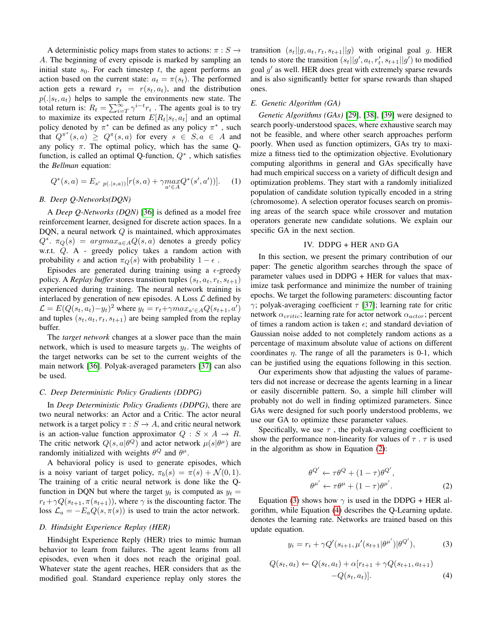A deterministic policy maps from states to actions:  $\pi : S \rightarrow$ A. The beginning of every episode is marked by sampling an initial state  $s_0$ . For each timestep t, the agent performs an action based on the current state:  $a_t = \pi(s_t)$ . The performed action gets a reward  $r_t = r(s_t, a_t)$ , and the distribution  $p(.|s_t, a_t)$  helps to sample the environments new state. The total return is:  $R_t = \sum_{i=T}^{\infty} \gamma^{i-t} r_i$ . The agents goal is to try to maximize its expected return  $E[R_t|s_t, a_t]$  and an optimal policy denoted by  $\pi^*$  can be defined as any policy  $\pi^*$ , such that  $Q^{\pi^*}(s, a) \geq Q^{\pi}(s, a)$  for every  $s \in S, a \in A$  and any policy  $\pi$ . The optimal policy, which has the same Qfunction, is called an optimal Q-function,  $Q^*$ , which satisfies the *Bellman* equation:

$$
Q^*(s, a) = E_{s' p(.|s, a)} [r(s, a) + \gamma \max_{a' \in A} Q^*(s', a'))]. \tag{1}
$$

# *B. Deep Q-Networks(DQN)*

A *Deep Q-Networks (DQN)* [\[36\]](#page-5-28) is defined as a model free reinforcement learner, designed for discrete action spaces. In a DQN, a neural network  $Q$  is maintained, which approximates  $Q^*$ .  $\pi_Q(s) = argmax_{a \in A} Q(s, a)$  denotes a greedy policy w.r.t. Q. A - greedy policy takes a random action with probability  $\epsilon$  and action  $\pi_Q(s)$  with probability  $1 - \epsilon$ .

Episodes are generated during training using a  $\epsilon$ -greedy policy. A *Replay buffer* stores transition tuples  $(s_t, a_t, r_t, s_{t+1})$ experienced during training. The neural network training is interlaced by generation of new episodes. A Loss  $\mathcal L$  defined by  $\mathcal{L} = E(Q(s_t, a_t) - y_t)^2$  where  $y_t = r_t + \gamma max_{a' \in A} Q(s_{t+1}, a')$ and tuples  $(s_t, a_t, r_t, s_{t+1})$  are being sampled from the replay buffer.

The *target network* changes at a slower pace than the main network, which is used to measure targets  $y_t$ . The weights of the target networks can be set to the current weights of the main network [\[36\]](#page-5-28). Polyak-averaged parameters [\[37\]](#page-5-29) can also be used.

## *C. Deep Deterministic Policy Gradients (DDPG)*

In *Deep Deterministic Policy Gradients (DDPG)*, there are two neural networks: an Actor and a Critic. The actor neural network is a target policy  $\pi : S \to A$ , and critic neural network is an action-value function approximator  $Q : S \times A \rightarrow R$ . The critic network  $Q(s, a | \theta^Q)$  and actor network  $\mu(s | \theta^{\mu})$  are randomly initialized with weights  $\theta^{Q}$  and  $\theta^{\mu}$ .

A behavioral policy is used to generate episodes, which is a noisy variant of target policy,  $\pi_b(s) = \pi(s) + \mathcal{N}(0, 1)$ . The training of a critic neural network is done like the Qfunction in DQN but where the target  $y_t$  is computed as  $y_t =$  $r_t + \gamma Q(s_{t+1}, \pi(s_{t+1}))$ , where  $\gamma$  is the discounting factor. The loss  $\mathcal{L}_a = -E_a Q(s, \pi(s))$  is used to train the actor network.

## *D. Hindsight Experience Replay (HER)*

Hindsight Experience Reply (HER) tries to mimic human behavior to learn from failures. The agent learns from all episodes, even when it does not reach the original goal. Whatever state the agent reaches, HER considers that as the modified goal. Standard experience replay only stores the transition  $(s_t||g, a_t, r_t, s_{t+1}||g)$  with original goal g. HER tends to store the transition  $(s_t||g', a_t, r'_t, s_{t+1}||g')$  to modified goal  $g'$  as well. HER does great with extremely sparse rewards and is also significantly better for sparse rewards than shaped ones.

#### *E. Genetic Algorithm (GA)*

*Genetic Algorithms (GAs)* [\[29\]](#page-5-23), [\[38\]](#page-5-30), [\[39\]](#page-5-31) were designed to search poorly-understood spaces, where exhaustive search may not be feasible, and where other search approaches perform poorly. When used as function optimizers, GAs try to maximize a fitness tied to the optimization objective. Evolutionary computing algorithms in general and GAs specifically have had much empirical success on a variety of difficult design and optimization problems. They start with a randomly initialized population of candidate solution typically encoded in a string (chromosome). A selection operator focuses search on promising areas of the search space while crossover and mutation operators generate new candidate solutions. We explain our specific GA in the next section.

# IV. DDPG + HER AND GA

In this section, we present the primary contribution of our paper: The genetic algorithm searches through the space of parameter values used in DDPG + HER for values that maximize task performance and minimize the number of training epochs. We target the following parameters: discounting factor  $γ$ ; polyak-averaging coefficient  $τ$  [\[37\]](#page-5-29); learning rate for critic network  $\alpha_{critic}$ ; learning rate for actor network  $\alpha_{actor}$ ; percent of times a random action is taken  $\epsilon$ ; and standard deviation of Gaussian noise added to not completely random actions as a percentage of maximum absolute value of actions on different coordinates  $\eta$ . The range of all the parameters is 0-1, which can be justified using the equations following in this section.

Our experiments show that adjusting the values of parameters did not increase or decrease the agents learning in a linear or easily discernible pattern. So, a simple hill climber will probably not do well in finding optimized parameters. Since GAs were designed for such poorly understood problems, we use our GA to optimize these parameter values.

Specifically, we use  $\tau$ , the polyak-averaging coefficient to show the performance non-linearity for values of  $\tau$ .  $\tau$  is used in the algorithm as show in Equation [\(2\)](#page-1-0):

<span id="page-1-1"></span><span id="page-1-0"></span>
$$
\theta^{Q'} \leftarrow \tau \theta^{Q} + (1 - \tau) \theta^{Q'}, \n\theta^{\mu'} \leftarrow \tau \theta^{\mu} + (1 - \tau) \theta^{\mu'}.
$$
\n(2)

Equation [\(3\)](#page-1-1) shows how  $\gamma$  is used in the DDPG + HER algorithm, while Equation [\(4\)](#page-1-2) describes the Q-Learning update. denotes the learning rate. Networks are trained based on this update equation.

<span id="page-1-2"></span>
$$
y_i = r_i + \gamma Q'(s_{i+1}, \mu'(s_{t+1}|\theta^{\mu'})|\theta^{Q'}), \tag{3}
$$

$$
Q(s_t, a_t) \leftarrow Q(s_t, a_t) + \alpha[r_{t+1} + \gamma Q(s_{t+1}, a_{t+1}) - Q(s_t, a_t)].
$$
\n(4)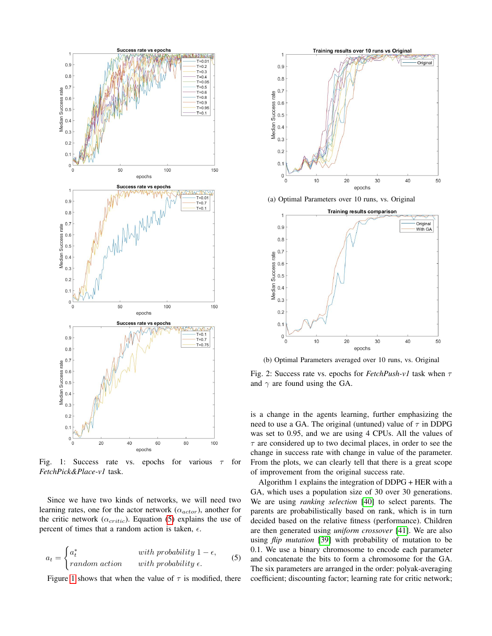<span id="page-2-1"></span>

Fig. 1: Success rate vs. epochs for various  $\tau$  for *FetchPick&Place-v1* task.

Since we have two kinds of networks, we will need two learning rates, one for the actor network  $(\alpha_{actor})$ , another for the critic network ( $\alpha_{critic}$ ). Equation [\(5\)](#page-2-0) explains the use of percent of times that a random action is taken,  $\epsilon$ .

$$
a_t = \begin{cases} a_t^* & \text{with probability } 1 - \epsilon, \\ random \text{ action} & \text{with probability } \epsilon. \end{cases}
$$
 (5)

Figure [1](#page-2-1) shows that when the value of  $\tau$  is modified, there

<span id="page-2-2"></span>

(a) Optimal Parameters over 10 runs, vs. Original



(b) Optimal Parameters averaged over 10 runs, vs. Original

Fig. 2: Success rate vs. epochs for  $FetchPush-v1$  task when  $\tau$ and  $\gamma$  are found using the GA.

is a change in the agents learning, further emphasizing the need to use a GA. The original (untuned) value of  $\tau$  in DDPG was set to 0.95, and we are using 4 CPUs. All the values of  $\tau$  are considered up to two decimal places, in order to see the change in success rate with change in value of the parameter. From the plots, we can clearly tell that there is a great scope of improvement from the original success rate.

<span id="page-2-0"></span>Algorithm 1 explains the integration of DDPG + HER with a GA, which uses a population size of 30 over 30 generations. We are using *ranking selection* [\[40\]](#page-5-32) to select parents. The parents are probabilistically based on rank, which is in turn decided based on the relative fitness (performance). Children are then generated using *uniform crossover* [\[41\]](#page-5-33). We are also using *flip mutation* [\[39\]](#page-5-31) with probability of mutation to be 0.1. We use a binary chromosome to encode each parameter and concatenate the bits to form a chromosome for the GA. The six parameters are arranged in the order: polyak-averaging coefficient; discounting factor; learning rate for critic network;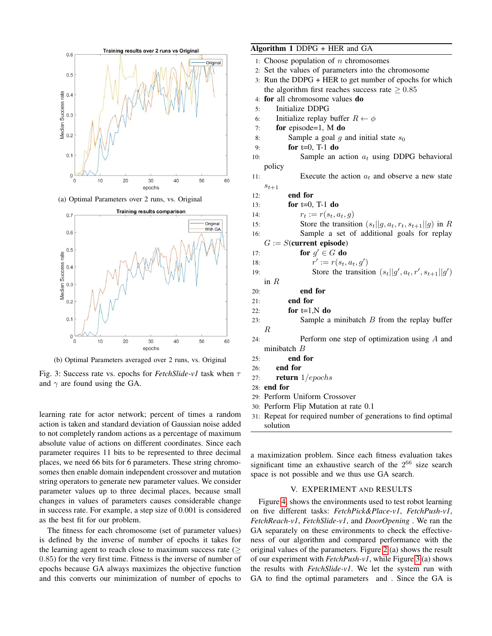<span id="page-3-0"></span>

(a) Optimal Parameters over 2 runs, vs. Original



(b) Optimal Parameters averaged over 2 runs, vs. Original

Fig. 3: Success rate vs. epochs for *FetchSlide-v1* task when τ and  $\gamma$  are found using the GA.

learning rate for actor network; percent of times a random action is taken and standard deviation of Gaussian noise added to not completely random actions as a percentage of maximum absolute value of actions on different coordinates. Since each parameter requires 11 bits to be represented to three decimal places, we need 66 bits for 6 parameters. These string chromosomes then enable domain independent crossover and mutation string operators to generate new parameter values. We consider parameter values up to three decimal places, because small changes in values of parameters causes considerable change in success rate. For example, a step size of 0.001 is considered as the best fit for our problem.

The fitness for each chromosome (set of parameter values) is defined by the inverse of number of epochs it takes for the learning agent to reach close to maximum success rate  $($ 0.85) for the very first time. Fitness is the inverse of number of epochs because GA always maximizes the objective function and this converts our minimization of number of epochs to

# Algorithm 1 DDPG + HER and GA

|     | 1: Choose population of $n$ chromosomes                    |  |  |
|-----|------------------------------------------------------------|--|--|
|     | 2: Set the values of parameters into the chromosome        |  |  |
|     | 3: Run the DDPG + HER to get number of epochs for which    |  |  |
|     | the algorithm first reaches success rate $\geq 0.85$       |  |  |
|     | 4: for all chromosome values do                            |  |  |
| 5:  | Initialize DDPG                                            |  |  |
| 6:  | Initialize replay buffer $R \leftarrow \phi$               |  |  |
| 7:  | for episode=1, $M$ do                                      |  |  |
| 8:  | Sample a goal $g$ and initial state $s_0$                  |  |  |
| 9:  | for $t=0$ , T-1 do                                         |  |  |
| 10: | Sample an action $a_t$ using DDPG behavioral               |  |  |
|     | policy                                                     |  |  |
| 11: | Execute the action $a_t$ and observe a new state           |  |  |
|     | $s_{t+1}$                                                  |  |  |
| 12: | end for                                                    |  |  |
| 13: | for $t=0$ , T-1 do                                         |  |  |
| 14: | $r_t := r(s_t, a_t, g)$                                    |  |  |
| 15: | Store the transition $(s_t  g, a_t, r_t, s_{t+1}  g)$ in R |  |  |
| 16: | Sample a set of additional goals for replay                |  |  |
|     | $G := S$ (current episode)                                 |  |  |
| 17: | for $g' \in G$ do                                          |  |  |
| 18: | $r' := r(s_t, a_t, g')$                                    |  |  |
| 19: | Store the transition $(s_t  g', a_t, r', s_{t+1}  g')$     |  |  |
|     | in $R$                                                     |  |  |
| 20: | end for                                                    |  |  |
| 21: | end for                                                    |  |  |
| 22: | for $t=1$ , N do                                           |  |  |
| 23: | Sample a minibatch $B$ from the replay buffer              |  |  |
|     | $\boldsymbol{R}$                                           |  |  |
| 24: | Perform one step of optimization using $A$ and             |  |  |
|     | minibatch $B$                                              |  |  |
| 25: | end for                                                    |  |  |
| 26: | end for                                                    |  |  |
| 27: | return $1/epochs$                                          |  |  |
|     | $20.$ and far                                              |  |  |

- 28: end for
- 29: Perform Uniform Crossover
- 30: Perform Flip Mutation at rate 0.1
- 31: Repeat for required number of generations to find optimal solution

a maximization problem. Since each fitness evaluation takes significant time an exhaustive search of the  $2^{66}$  size search space is not possible and we thus use GA search.

# V. EXPERIMENT AND RESULTS

Figure [4,](#page-4-0) shows the environments used to test robot learning on five different tasks: *FetchPick&Place-v1*, *FetchPush-v1*, *FetchReach-v1*, *FetchSlide-v1*, and *DoorOpening* . We ran the GA separately on these environments to check the effectiveness of our algorithm and compared performance with the original values of the parameters. Figure [2](#page-2-2) (a) shows the result of our experiment with *FetchPush-v1*, while Figure [3](#page-3-0) (a) shows the results with *FetchSlide-v1*. We let the system run with GA to find the optimal parameters and . Since the GA is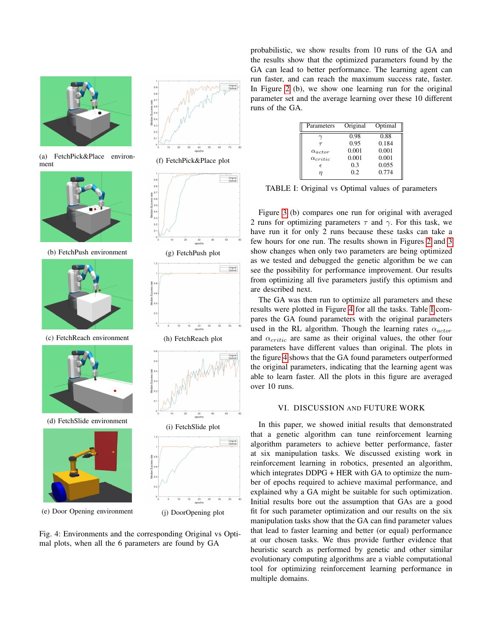<span id="page-4-0"></span>

(a) FetchPick&Place environment



(b) FetchPush environment



(c) FetchReach environment



(d) FetchSlide environment



(e) Door Opening environment



(f) FetchPick&Place plot



(g) FetchPush plot



(h) FetchReach plot



Fig. 4: Environments and the corresponding Original vs Optimal plots, when all the 6 parameters are found by GA

probabilistic, we show results from 10 runs of the GA and the results show that the optimized parameters found by the GA can lead to better performance. The learning agent can run faster, and can reach the maximum success rate, faster. In Figure [2](#page-2-2) (b), we show one learning run for the original parameter set and the average learning over these 10 different runs of the GA.

<span id="page-4-1"></span>

| Parameters        | Original | Optimal |
|-------------------|----------|---------|
|                   | 0.98     | 0.88    |
| $\tau$            | 0.95     | 0.184   |
| $\alpha_{actor}$  | 0.001    | 0.001   |
| $\alpha_{critic}$ | 0.001    | 0.001   |
| $\epsilon$        | 0.3      | 0.055   |
|                   | 0.2      | 0.774   |

TABLE I: Original vs Optimal values of parameters

Figure [3](#page-3-0) (b) compares one run for original with averaged 2 runs for optimizing parameters  $\tau$  and  $\gamma$ . For this task, we have run it for only 2 runs because these tasks can take a few hours for one run. The results shown in Figures [2](#page-2-2) and [3](#page-3-0) show changes when only two parameters are being optimized as we tested and debugged the genetic algorithm be we can see the possibility for performance improvement. Our results from optimizing all five parameters justify this optimism and are described next.

The GA was then run to optimize all parameters and these results were plotted in Figure [4](#page-4-0) for all the tasks. Table [I](#page-4-1) compares the GA found parameters with the original parameters used in the RL algorithm. Though the learning rates  $\alpha_{actor}$ and  $\alpha_{critic}$  are same as their original values, the other four parameters have different values than original. The plots in the figure [4](#page-4-0) shows that the GA found parameters outperformed the original parameters, indicating that the learning agent was able to learn faster. All the plots in this figure are averaged over 10 runs.

# VI. DISCUSSION AND FUTURE WORK

In this paper, we showed initial results that demonstrated that a genetic algorithm can tune reinforcement learning algorithm parameters to achieve better performance, faster at six manipulation tasks. We discussed existing work in reinforcement learning in robotics, presented an algorithm, which integrates DDPG + HER with GA to optimize the number of epochs required to achieve maximal performance, and explained why a GA might be suitable for such optimization. Initial results bore out the assumption that GAs are a good fit for such parameter optimization and our results on the six manipulation tasks show that the GA can find parameter values that lead to faster learning and better (or equal) performance at our chosen tasks. We thus provide further evidence that heuristic search as performed by genetic and other similar evolutionary computing algorithms are a viable computational tool for optimizing reinforcement learning performance in multiple domains.